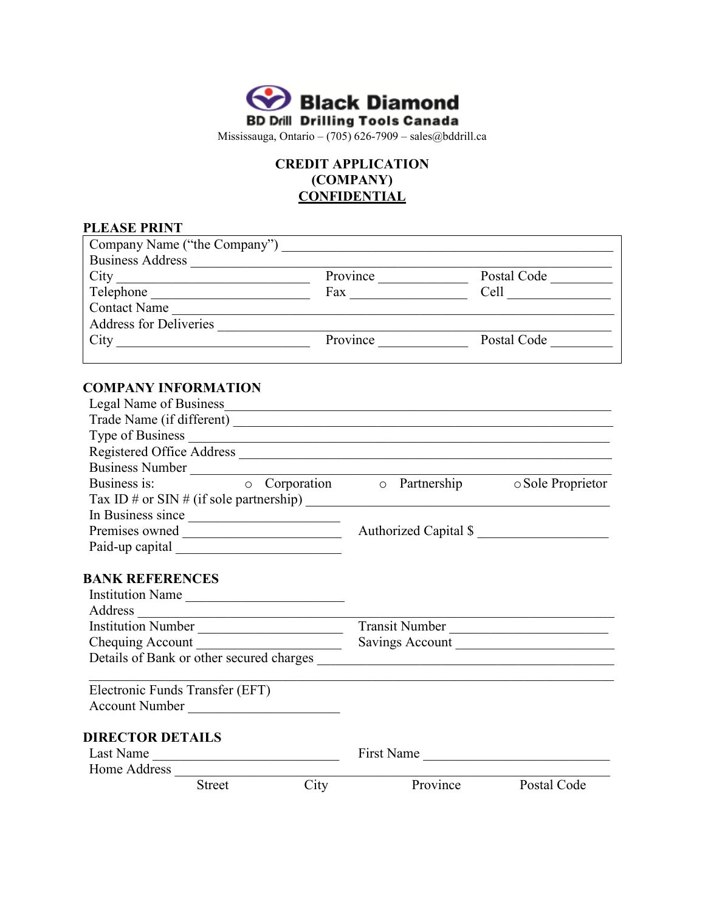

## **CREDIT APPLICATION (COMPANY) CONFIDENTIAL**

| <b>PLEASE PRINT</b>                                             |                      |          |                                               |
|-----------------------------------------------------------------|----------------------|----------|-----------------------------------------------|
|                                                                 |                      |          |                                               |
| Business Address                                                |                      |          |                                               |
|                                                                 | Province             |          | Postal Code                                   |
|                                                                 |                      |          |                                               |
| Contact Name                                                    |                      |          |                                               |
| Address for Deliveries                                          |                      |          |                                               |
|                                                                 | Province Postal Code |          |                                               |
| <b>COMPANY INFORMATION</b>                                      |                      |          |                                               |
| Legal Name of Business_                                         |                      |          |                                               |
|                                                                 |                      |          |                                               |
|                                                                 |                      |          |                                               |
|                                                                 |                      |          |                                               |
| Business Number                                                 |                      |          |                                               |
| Business is:                                                    |                      |          | o Corporation o Partnership o Sole Proprietor |
| Tax ID # or SIN # (if sole partnership) $\frac{1}{\sqrt{2\pi}}$ |                      |          |                                               |
| In Business since                                               |                      |          |                                               |
|                                                                 |                      |          | Authorized Capital \$                         |
|                                                                 |                      |          |                                               |
| <b>BANK REFERENCES</b>                                          |                      |          |                                               |
| Institution Name                                                |                      |          |                                               |
| Address                                                         |                      |          |                                               |
| Institution Number                                              |                      |          | Transit Number                                |
| Chequing Account                                                |                      |          | Savings Account                               |
|                                                                 |                      |          |                                               |
| Electronic Funds Transfer (EFT)                                 |                      |          |                                               |
| Account Number                                                  |                      |          |                                               |
| <b>DIRECTOR DETAILS</b>                                         |                      |          |                                               |
| Last Name                                                       |                      |          | First Name                                    |
| Home Address                                                    |                      |          |                                               |
| <b>Street</b>                                                   | City                 | Province | Postal Code                                   |